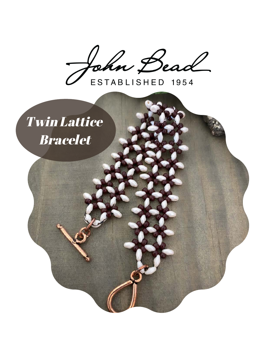John Bead

ESTABLISHED 1954

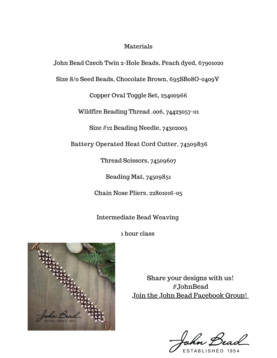#### Materials

John Bead Czech Twin 2-Hole Beads, Peach dyed, 67901020

Size 8/0 Seed Beads, Chocolate Brown, 695SB08O-0409V

Copper Oval Toggle Set, 23400966

Wildfire Beading Thread .006, 74423057-01

Size #12 Beading Needle, 74302005

[Battery Operated Heat Cord Cutter](https://www.johnbead.com/products/745/wildfire-battery-operated-heat-cord-cutter), 74509836

Thread Scissors, 74509607

Beading Mat, 74509851

Chain Nose Pliers, 22801016-05

Intermediate Bead Weaving

1 hour class



Share your designs with us! #JohnBead [Join the John Bead Facebook Group!](https://www.facebook.com/groups/Beadprojectsfromjohnbead)

ESTABLISHED 1954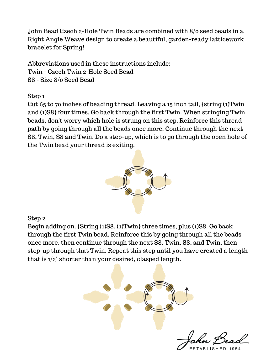John Bead Czech 2-Hole Twin Beads are combined with 8/0 seed beads in a Right Angle Weave design to create a beautiful, garden-ready latticework bracelet for Spring!

Abbreviations used in these instructions include: Twin - Czech Twin 2-Hole Seed Bead S8 - Size 8/0 Seed Bead

Step 1

Cut 65 to 70 inches of beading thread. Leaving a 15 inch tail, {string (1)Twin and (1)S8} four times. Go back through the first Twin. When stringing Twin beads, don't worry which hole is strung on this step. Reinforce this thread path by going through all the beads once more. Continue through the next S8, Twin, S8 and Twin. Do a step-up, which is to go through the open hole of the Twin bead your thread is exiting.



### Step 2

Begin adding on. {String (1)S8, (1)Twin} three times, plus (1)S8. Go back through the first Twin bead. Reinforce this by going through all the beads once more, then continue through the next S8, Twin, S8, and Twin, then step-up through that Twin. Repeat this step until you have created a length that is 1/2" shorter than your desired, clasped length.

ESTABLISHED 1954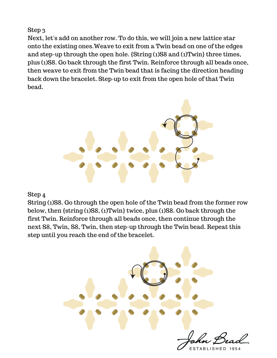## Step 3

Next, let's add on another row. To do this, we will join a new lattice star onto the existing ones.Weave to exit from a Twin bead on one of the edges and step-up through the open hole. {String (1)S8 and (1)Twin} three times, plus (1)S8. Go back through the first Twin. Reinforce through all beads once, then weave to exit from the Twin bead that is facing the direction heading back down the bracelet. Step-up to exit from the open hole of that Twin bead.



### Step 4

String (1)S8. Go through the open hole of the Twin bead from the former row below, then {string (1)S8, (1)Twin} twice, plus (1)S8. Go back through the first Twin. Reinforce through all beads once, then continue through the next S8, Twin, S8, Twin, then step-up through the Twin bead. Repeat this step until you reach the end of the bracelet.